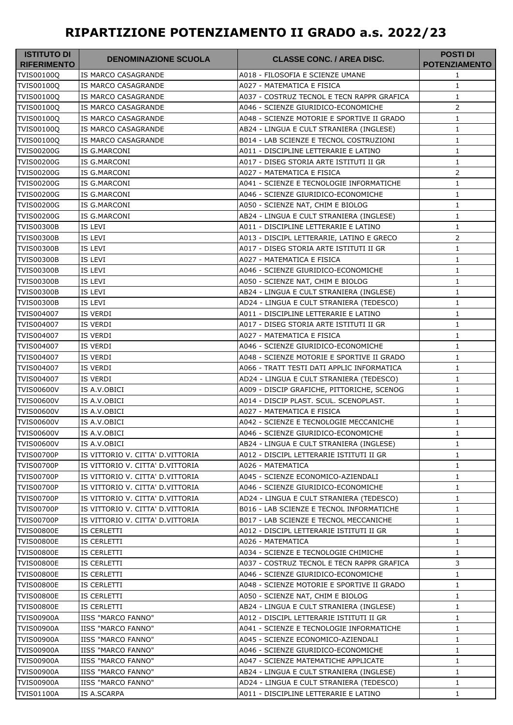## **RIPARTIZIONE POTENZIAMENTO II GRADO a.s. 2022/23**

| IS MARCO CASAGRANDE<br>A018 - FILOSOFIA E SCIENZE UMANE<br>1<br>IS MARCO CASAGRANDE<br>A027 - MATEMATICA E FISICA<br>$\mathbf{1}$<br><b>IS MARCO CASAGRANDE</b><br>A037 - COSTRUZ TECNOL E TECN RAPPR GRAFICA<br>$\mathbf{1}$<br>2<br>IS MARCO CASAGRANDE<br>A046 - SCIENZE GIURIDICO-ECONOMICHE<br>IS MARCO CASAGRANDE<br>A048 - SCIENZE MOTORIE E SPORTIVE II GRADO<br>1<br>IS MARCO CASAGRANDE<br>AB24 - LINGUA E CULT STRANIERA (INGLESE)<br>$\mathbf{1}$<br>B014 - LAB SCIENZE E TECNOL COSTRUZIONI<br><b>IS MARCO CASAGRANDE</b><br>1<br>A011 - DISCIPLINE LETTERARIE E LATINO<br>$\mathbf{1}$<br>IS G.MARCONI<br><b>TVIS00200G</b><br>IS G.MARCONI<br>A017 - DISEG STORIA ARTE ISTITUTI II GR<br>$\mathbf{1}$<br>2<br><b>TVIS00200G</b><br>IS G.MARCONI<br>A027 - MATEMATICA E FISICA<br>$1\,$<br>IS G.MARCONI<br>A041 - SCIENZE E TECNOLOGIE INFORMATICHE<br><b>TVIS00200G</b><br>IS G.MARCONI<br>A046 - SCIENZE GIURIDICO-ECONOMICHE<br>$\mathbf{1}$<br><b>TVIS00200G</b><br>IS G.MARCONI<br>A050 - SCIENZE NAT, CHIM E BIOLOG<br>$\mathbf{1}$<br>IS G.MARCONI<br>AB24 - LINGUA E CULT STRANIERA (INGLESE)<br>$\mathbf{1}$<br>A011 - DISCIPLINE LETTERARIE E LATINO<br>IS LEVI<br>$\mathbf{1}$<br>$\overline{2}$<br>IS LEVI<br>A013 - DISCIPL LETTERARIE, LATINO E GRECO<br>A017 - DISEG STORIA ARTE ISTITUTI II GR<br>IS LEVI<br>1<br>IS LEVI<br>A027 - MATEMATICA E FISICA<br>$\mathbf{1}$<br>IS LEVI<br>$\mathbf{1}$<br><b>TVIS00300B</b><br>A046 - SCIENZE GIURIDICO-ECONOMICHE<br><b>TVIS00300B</b><br>IS LEVI<br>A050 - SCIENZE NAT, CHIM E BIOLOG<br>1<br>$\mathbf{1}$<br><b>TVIS00300B</b><br>IS LEVI<br>AB24 - LINGUA E CULT STRANIERA (INGLESE)<br><b>TVIS00300B</b><br>IS LEVI<br>AD24 - LINGUA E CULT STRANIERA (TEDESCO)<br>$\mathbf{1}$<br>TVIS004007<br>IS VERDI<br>A011 - DISCIPLINE LETTERARIE E LATINO<br>$\mathbf{1}$<br>IS VERDI<br>A017 - DISEG STORIA ARTE ISTITUTI II GR<br>$\mathbf{1}$<br>IS VERDI<br>A027 - MATEMATICA E FISICA<br>1<br>IS VERDI<br>A046 - SCIENZE GIURIDICO-ECONOMICHE<br>$\mathbf{1}$<br>IS VERDI<br>A048 - SCIENZE MOTORIE E SPORTIVE II GRADO<br>1<br>IS VERDI<br>A066 - TRATT TESTI DATI APPLIC INFORMATICA<br>$\mathbf{1}$<br>IS VERDI<br>AD24 - LINGUA E CULT STRANIERA (TEDESCO)<br>$\mathbf{1}$<br>A009 - DISCIP GRAFICHE, PITTORICHE, SCENOG<br><b>TVIS00600V</b><br>IS A.V.OBICI<br>1<br>$1\,$<br><b>TVIS00600V</b><br>IS A.V.OBICI<br>A014 - DISCIP PLAST. SCUL. SCENOPLAST.<br><b>TVIS00600V</b><br>IS A.V.OBICI<br>A027 - MATEMATICA E FISICA<br>$\mathbf{1}$<br><b>TVIS00600V</b><br>A042 - SCIENZE E TECNOLOGIE MECCANICHE<br>IS A.V.OBICI<br>$\mathbf{1}$<br>TVIS00600V<br>IS A.V.OBICI<br>A046 - SCIENZE GIURIDICO-ECONOMICHE<br>1<br><b>TVIS00600V</b><br>IS A.V.OBICI<br>AB24 - LINGUA E CULT STRANIERA (INGLESE)<br>1<br><b>TVIS00700P</b><br>IS VITTORIO V. CITTA' D.VITTORIA<br>A012 - DISCIPL LETTERARIE ISTITUTI II GR<br>1<br>TVIS00700P<br>IS VITTORIO V. CITTA' D.VITTORIA<br>A026 - MATEMATICA<br>1<br><b>TVIS00700P</b><br>IS VITTORIO V. CITTA' D.VITTORIA<br>A045 - SCIENZE ECONOMICO-AZIENDALI<br>1<br>IS VITTORIO V. CITTA' D.VITTORIA<br><b>TVIS00700P</b><br>A046 - SCIENZE GIURIDICO-ECONOMICHE<br>$\mathbf{1}$<br><b>TVIS00700P</b><br>IS VITTORIO V. CITTA' D.VITTORIA<br>AD24 - LINGUA E CULT STRANIERA (TEDESCO)<br>$\mathbf{1}$<br><b>TVIS00700P</b><br>IS VITTORIO V. CITTA' D.VITTORIA<br>B016 - LAB SCIENZE E TECNOL INFORMATICHE<br>$\mathbf{1}$<br><b>TVIS00700P</b><br>IS VITTORIO V. CITTA' D.VITTORIA<br>B017 - LAB SCIENZE E TECNOL MECCANICHE<br>1<br><b>TVIS00800E</b><br>IS CERLETTI<br>A012 - DISCIPL LETTERARIE ISTITUTI II GR<br>$\mathbf{1}$<br><b>TVIS00800E</b><br>IS CERLETTI<br>A026 - MATEMATICA<br>$\mathbf{1}$<br><b>TVIS00800E</b><br>IS CERLETTI<br>A034 - SCIENZE E TECNOLOGIE CHIMICHE<br>$\mathbf{1}$<br>3<br><b>TVIS00800E</b><br>IS CERLETTI<br>A037 - COSTRUZ TECNOL E TECN RAPPR GRAFICA<br><b>TVIS00800E</b><br>IS CERLETTI<br>A046 - SCIENZE GIURIDICO-ECONOMICHE<br>$\mathbf{1}$<br><b>TVIS00800E</b><br>IS CERLETTI<br>A048 - SCIENZE MOTORIE E SPORTIVE II GRADO<br>$\mathbf{1}$<br><b>TVIS00800E</b><br>IS CERLETTI<br>A050 - SCIENZE NAT, CHIM E BIOLOG<br>$\mathbf{1}$<br><b>TVIS00800E</b><br>IS CERLETTI<br>AB24 - LINGUA E CULT STRANIERA (INGLESE)<br>$\mathbf{1}$<br><b>TVIS00900A</b><br>IISS "MARCO FANNO"<br>A012 - DISCIPL LETTERARIE ISTITUTI II GR<br>$\mathbf{1}$<br>IISS "MARCO FANNO"<br>TVIS00900A<br>A041 - SCIENZE E TECNOLOGIE INFORMATICHE<br>$\mathbf{1}$<br><b>TVIS00900A</b><br>IISS "MARCO FANNO"<br>A045 - SCIENZE ECONOMICO-AZIENDALI<br>$\mathbf{1}$<br><b>TVIS00900A</b><br><b>IISS "MARCO FANNO"</b><br>A046 - SCIENZE GIURIDICO-ECONOMICHE<br>1<br><b>TVIS00900A</b><br><b>IISS "MARCO FANNO"</b><br>A047 - SCIENZE MATEMATICHE APPLICATE<br>1<br><b>TVIS00900A</b><br>IISS "MARCO FANNO"<br>AB24 - LINGUA E CULT STRANIERA (INGLESE)<br>1 | <b>ISTITUTO DI</b><br><b>RIFERIMENTO</b> | <b>DENOMINAZIONE SCUOLA</b> | <b>CLASSE CONC. / AREA DISC.</b> | <b>POSTI DI</b><br><b>POTENZIAMENTO</b> |
|--------------------------------------------------------------------------------------------------------------------------------------------------------------------------------------------------------------------------------------------------------------------------------------------------------------------------------------------------------------------------------------------------------------------------------------------------------------------------------------------------------------------------------------------------------------------------------------------------------------------------------------------------------------------------------------------------------------------------------------------------------------------------------------------------------------------------------------------------------------------------------------------------------------------------------------------------------------------------------------------------------------------------------------------------------------------------------------------------------------------------------------------------------------------------------------------------------------------------------------------------------------------------------------------------------------------------------------------------------------------------------------------------------------------------------------------------------------------------------------------------------------------------------------------------------------------------------------------------------------------------------------------------------------------------------------------------------------------------------------------------------------------------------------------------------------------------------------------------------------------------------------------------------------------------------------------------------------------------------------------------------------------------------------------------------------------------------------------------------------------------------------------------------------------------------------------------------------------------------------------------------------------------------------------------------------------------------------------------------------------------------------------------------------------------------------------------------------------------------------------------------------------------------------------------------------------------------------------------------------------------------------------------------------------------------------------------------------------------------------------------------------------------------------------------------------------------------------------------------------------------------------------------------------------------------------------------------------------------------------------------------------------------------------------------------------------------------------------------------------------------------------------------------------------------------------------------------------------------------------------------------------------------------------------------------------------------------------------------------------------------------------------------------------------------------------------------------------------------------------------------------------------------------------------------------------------------------------------------------------------------------------------------------------------------------------------------------------------------------------------------------------------------------------------------------------------------------------------------------------------------------------------------------------------------------------------------------------------------------------------------------------------------------------------------------------------------------------------------------------------------------------------------------------------------------------------------------------------------------------------------------------------------------------------------------------------------------------------------------------------------------------------------------------------------------------------------------------------------------------------------------------------------------------------------------------------------------------------------------------------------------------------------------------------------------------------------------------------------------------------------------------------------------------------------------------------------------------------------------------------------------------------------------------|------------------------------------------|-----------------------------|----------------------------------|-----------------------------------------|
|                                                                                                                                                                                                                                                                                                                                                                                                                                                                                                                                                                                                                                                                                                                                                                                                                                                                                                                                                                                                                                                                                                                                                                                                                                                                                                                                                                                                                                                                                                                                                                                                                                                                                                                                                                                                                                                                                                                                                                                                                                                                                                                                                                                                                                                                                                                                                                                                                                                                                                                                                                                                                                                                                                                                                                                                                                                                                                                                                                                                                                                                                                                                                                                                                                                                                                                                                                                                                                                                                                                                                                                                                                                                                                                                                                                                                                                                                                                                                                                                                                                                                                                                                                                                                                                                                                                                                                                                                                                                                                                                                                                                                                                                                                                                                                                                                                                                                                              | TVIS00100Q                               |                             |                                  |                                         |
|                                                                                                                                                                                                                                                                                                                                                                                                                                                                                                                                                                                                                                                                                                                                                                                                                                                                                                                                                                                                                                                                                                                                                                                                                                                                                                                                                                                                                                                                                                                                                                                                                                                                                                                                                                                                                                                                                                                                                                                                                                                                                                                                                                                                                                                                                                                                                                                                                                                                                                                                                                                                                                                                                                                                                                                                                                                                                                                                                                                                                                                                                                                                                                                                                                                                                                                                                                                                                                                                                                                                                                                                                                                                                                                                                                                                                                                                                                                                                                                                                                                                                                                                                                                                                                                                                                                                                                                                                                                                                                                                                                                                                                                                                                                                                                                                                                                                                                              | TVIS00100Q                               |                             |                                  |                                         |
|                                                                                                                                                                                                                                                                                                                                                                                                                                                                                                                                                                                                                                                                                                                                                                                                                                                                                                                                                                                                                                                                                                                                                                                                                                                                                                                                                                                                                                                                                                                                                                                                                                                                                                                                                                                                                                                                                                                                                                                                                                                                                                                                                                                                                                                                                                                                                                                                                                                                                                                                                                                                                                                                                                                                                                                                                                                                                                                                                                                                                                                                                                                                                                                                                                                                                                                                                                                                                                                                                                                                                                                                                                                                                                                                                                                                                                                                                                                                                                                                                                                                                                                                                                                                                                                                                                                                                                                                                                                                                                                                                                                                                                                                                                                                                                                                                                                                                                              | TVIS00100Q                               |                             |                                  |                                         |
|                                                                                                                                                                                                                                                                                                                                                                                                                                                                                                                                                                                                                                                                                                                                                                                                                                                                                                                                                                                                                                                                                                                                                                                                                                                                                                                                                                                                                                                                                                                                                                                                                                                                                                                                                                                                                                                                                                                                                                                                                                                                                                                                                                                                                                                                                                                                                                                                                                                                                                                                                                                                                                                                                                                                                                                                                                                                                                                                                                                                                                                                                                                                                                                                                                                                                                                                                                                                                                                                                                                                                                                                                                                                                                                                                                                                                                                                                                                                                                                                                                                                                                                                                                                                                                                                                                                                                                                                                                                                                                                                                                                                                                                                                                                                                                                                                                                                                                              | TVIS00100Q                               |                             |                                  |                                         |
|                                                                                                                                                                                                                                                                                                                                                                                                                                                                                                                                                                                                                                                                                                                                                                                                                                                                                                                                                                                                                                                                                                                                                                                                                                                                                                                                                                                                                                                                                                                                                                                                                                                                                                                                                                                                                                                                                                                                                                                                                                                                                                                                                                                                                                                                                                                                                                                                                                                                                                                                                                                                                                                                                                                                                                                                                                                                                                                                                                                                                                                                                                                                                                                                                                                                                                                                                                                                                                                                                                                                                                                                                                                                                                                                                                                                                                                                                                                                                                                                                                                                                                                                                                                                                                                                                                                                                                                                                                                                                                                                                                                                                                                                                                                                                                                                                                                                                                              | <b>TVIS00100Q</b>                        |                             |                                  |                                         |
|                                                                                                                                                                                                                                                                                                                                                                                                                                                                                                                                                                                                                                                                                                                                                                                                                                                                                                                                                                                                                                                                                                                                                                                                                                                                                                                                                                                                                                                                                                                                                                                                                                                                                                                                                                                                                                                                                                                                                                                                                                                                                                                                                                                                                                                                                                                                                                                                                                                                                                                                                                                                                                                                                                                                                                                                                                                                                                                                                                                                                                                                                                                                                                                                                                                                                                                                                                                                                                                                                                                                                                                                                                                                                                                                                                                                                                                                                                                                                                                                                                                                                                                                                                                                                                                                                                                                                                                                                                                                                                                                                                                                                                                                                                                                                                                                                                                                                                              | <b>TVIS00100Q</b>                        |                             |                                  |                                         |
|                                                                                                                                                                                                                                                                                                                                                                                                                                                                                                                                                                                                                                                                                                                                                                                                                                                                                                                                                                                                                                                                                                                                                                                                                                                                                                                                                                                                                                                                                                                                                                                                                                                                                                                                                                                                                                                                                                                                                                                                                                                                                                                                                                                                                                                                                                                                                                                                                                                                                                                                                                                                                                                                                                                                                                                                                                                                                                                                                                                                                                                                                                                                                                                                                                                                                                                                                                                                                                                                                                                                                                                                                                                                                                                                                                                                                                                                                                                                                                                                                                                                                                                                                                                                                                                                                                                                                                                                                                                                                                                                                                                                                                                                                                                                                                                                                                                                                                              | TVIS00100Q                               |                             |                                  |                                         |
|                                                                                                                                                                                                                                                                                                                                                                                                                                                                                                                                                                                                                                                                                                                                                                                                                                                                                                                                                                                                                                                                                                                                                                                                                                                                                                                                                                                                                                                                                                                                                                                                                                                                                                                                                                                                                                                                                                                                                                                                                                                                                                                                                                                                                                                                                                                                                                                                                                                                                                                                                                                                                                                                                                                                                                                                                                                                                                                                                                                                                                                                                                                                                                                                                                                                                                                                                                                                                                                                                                                                                                                                                                                                                                                                                                                                                                                                                                                                                                                                                                                                                                                                                                                                                                                                                                                                                                                                                                                                                                                                                                                                                                                                                                                                                                                                                                                                                                              | <b>TVIS00200G</b>                        |                             |                                  |                                         |
|                                                                                                                                                                                                                                                                                                                                                                                                                                                                                                                                                                                                                                                                                                                                                                                                                                                                                                                                                                                                                                                                                                                                                                                                                                                                                                                                                                                                                                                                                                                                                                                                                                                                                                                                                                                                                                                                                                                                                                                                                                                                                                                                                                                                                                                                                                                                                                                                                                                                                                                                                                                                                                                                                                                                                                                                                                                                                                                                                                                                                                                                                                                                                                                                                                                                                                                                                                                                                                                                                                                                                                                                                                                                                                                                                                                                                                                                                                                                                                                                                                                                                                                                                                                                                                                                                                                                                                                                                                                                                                                                                                                                                                                                                                                                                                                                                                                                                                              |                                          |                             |                                  |                                         |
|                                                                                                                                                                                                                                                                                                                                                                                                                                                                                                                                                                                                                                                                                                                                                                                                                                                                                                                                                                                                                                                                                                                                                                                                                                                                                                                                                                                                                                                                                                                                                                                                                                                                                                                                                                                                                                                                                                                                                                                                                                                                                                                                                                                                                                                                                                                                                                                                                                                                                                                                                                                                                                                                                                                                                                                                                                                                                                                                                                                                                                                                                                                                                                                                                                                                                                                                                                                                                                                                                                                                                                                                                                                                                                                                                                                                                                                                                                                                                                                                                                                                                                                                                                                                                                                                                                                                                                                                                                                                                                                                                                                                                                                                                                                                                                                                                                                                                                              |                                          |                             |                                  |                                         |
|                                                                                                                                                                                                                                                                                                                                                                                                                                                                                                                                                                                                                                                                                                                                                                                                                                                                                                                                                                                                                                                                                                                                                                                                                                                                                                                                                                                                                                                                                                                                                                                                                                                                                                                                                                                                                                                                                                                                                                                                                                                                                                                                                                                                                                                                                                                                                                                                                                                                                                                                                                                                                                                                                                                                                                                                                                                                                                                                                                                                                                                                                                                                                                                                                                                                                                                                                                                                                                                                                                                                                                                                                                                                                                                                                                                                                                                                                                                                                                                                                                                                                                                                                                                                                                                                                                                                                                                                                                                                                                                                                                                                                                                                                                                                                                                                                                                                                                              | <b>TVIS00200G</b>                        |                             |                                  |                                         |
|                                                                                                                                                                                                                                                                                                                                                                                                                                                                                                                                                                                                                                                                                                                                                                                                                                                                                                                                                                                                                                                                                                                                                                                                                                                                                                                                                                                                                                                                                                                                                                                                                                                                                                                                                                                                                                                                                                                                                                                                                                                                                                                                                                                                                                                                                                                                                                                                                                                                                                                                                                                                                                                                                                                                                                                                                                                                                                                                                                                                                                                                                                                                                                                                                                                                                                                                                                                                                                                                                                                                                                                                                                                                                                                                                                                                                                                                                                                                                                                                                                                                                                                                                                                                                                                                                                                                                                                                                                                                                                                                                                                                                                                                                                                                                                                                                                                                                                              |                                          |                             |                                  |                                         |
|                                                                                                                                                                                                                                                                                                                                                                                                                                                                                                                                                                                                                                                                                                                                                                                                                                                                                                                                                                                                                                                                                                                                                                                                                                                                                                                                                                                                                                                                                                                                                                                                                                                                                                                                                                                                                                                                                                                                                                                                                                                                                                                                                                                                                                                                                                                                                                                                                                                                                                                                                                                                                                                                                                                                                                                                                                                                                                                                                                                                                                                                                                                                                                                                                                                                                                                                                                                                                                                                                                                                                                                                                                                                                                                                                                                                                                                                                                                                                                                                                                                                                                                                                                                                                                                                                                                                                                                                                                                                                                                                                                                                                                                                                                                                                                                                                                                                                                              |                                          |                             |                                  |                                         |
|                                                                                                                                                                                                                                                                                                                                                                                                                                                                                                                                                                                                                                                                                                                                                                                                                                                                                                                                                                                                                                                                                                                                                                                                                                                                                                                                                                                                                                                                                                                                                                                                                                                                                                                                                                                                                                                                                                                                                                                                                                                                                                                                                                                                                                                                                                                                                                                                                                                                                                                                                                                                                                                                                                                                                                                                                                                                                                                                                                                                                                                                                                                                                                                                                                                                                                                                                                                                                                                                                                                                                                                                                                                                                                                                                                                                                                                                                                                                                                                                                                                                                                                                                                                                                                                                                                                                                                                                                                                                                                                                                                                                                                                                                                                                                                                                                                                                                                              | <b>TVIS00200G</b>                        |                             |                                  |                                         |
|                                                                                                                                                                                                                                                                                                                                                                                                                                                                                                                                                                                                                                                                                                                                                                                                                                                                                                                                                                                                                                                                                                                                                                                                                                                                                                                                                                                                                                                                                                                                                                                                                                                                                                                                                                                                                                                                                                                                                                                                                                                                                                                                                                                                                                                                                                                                                                                                                                                                                                                                                                                                                                                                                                                                                                                                                                                                                                                                                                                                                                                                                                                                                                                                                                                                                                                                                                                                                                                                                                                                                                                                                                                                                                                                                                                                                                                                                                                                                                                                                                                                                                                                                                                                                                                                                                                                                                                                                                                                                                                                                                                                                                                                                                                                                                                                                                                                                                              | <b>TVIS00300B</b>                        |                             |                                  |                                         |
|                                                                                                                                                                                                                                                                                                                                                                                                                                                                                                                                                                                                                                                                                                                                                                                                                                                                                                                                                                                                                                                                                                                                                                                                                                                                                                                                                                                                                                                                                                                                                                                                                                                                                                                                                                                                                                                                                                                                                                                                                                                                                                                                                                                                                                                                                                                                                                                                                                                                                                                                                                                                                                                                                                                                                                                                                                                                                                                                                                                                                                                                                                                                                                                                                                                                                                                                                                                                                                                                                                                                                                                                                                                                                                                                                                                                                                                                                                                                                                                                                                                                                                                                                                                                                                                                                                                                                                                                                                                                                                                                                                                                                                                                                                                                                                                                                                                                                                              | <b>TVIS00300B</b>                        |                             |                                  |                                         |
|                                                                                                                                                                                                                                                                                                                                                                                                                                                                                                                                                                                                                                                                                                                                                                                                                                                                                                                                                                                                                                                                                                                                                                                                                                                                                                                                                                                                                                                                                                                                                                                                                                                                                                                                                                                                                                                                                                                                                                                                                                                                                                                                                                                                                                                                                                                                                                                                                                                                                                                                                                                                                                                                                                                                                                                                                                                                                                                                                                                                                                                                                                                                                                                                                                                                                                                                                                                                                                                                                                                                                                                                                                                                                                                                                                                                                                                                                                                                                                                                                                                                                                                                                                                                                                                                                                                                                                                                                                                                                                                                                                                                                                                                                                                                                                                                                                                                                                              | <b>TVIS00300B</b>                        |                             |                                  |                                         |
|                                                                                                                                                                                                                                                                                                                                                                                                                                                                                                                                                                                                                                                                                                                                                                                                                                                                                                                                                                                                                                                                                                                                                                                                                                                                                                                                                                                                                                                                                                                                                                                                                                                                                                                                                                                                                                                                                                                                                                                                                                                                                                                                                                                                                                                                                                                                                                                                                                                                                                                                                                                                                                                                                                                                                                                                                                                                                                                                                                                                                                                                                                                                                                                                                                                                                                                                                                                                                                                                                                                                                                                                                                                                                                                                                                                                                                                                                                                                                                                                                                                                                                                                                                                                                                                                                                                                                                                                                                                                                                                                                                                                                                                                                                                                                                                                                                                                                                              | <b>TVIS00300B</b>                        |                             |                                  |                                         |
|                                                                                                                                                                                                                                                                                                                                                                                                                                                                                                                                                                                                                                                                                                                                                                                                                                                                                                                                                                                                                                                                                                                                                                                                                                                                                                                                                                                                                                                                                                                                                                                                                                                                                                                                                                                                                                                                                                                                                                                                                                                                                                                                                                                                                                                                                                                                                                                                                                                                                                                                                                                                                                                                                                                                                                                                                                                                                                                                                                                                                                                                                                                                                                                                                                                                                                                                                                                                                                                                                                                                                                                                                                                                                                                                                                                                                                                                                                                                                                                                                                                                                                                                                                                                                                                                                                                                                                                                                                                                                                                                                                                                                                                                                                                                                                                                                                                                                                              |                                          |                             |                                  |                                         |
|                                                                                                                                                                                                                                                                                                                                                                                                                                                                                                                                                                                                                                                                                                                                                                                                                                                                                                                                                                                                                                                                                                                                                                                                                                                                                                                                                                                                                                                                                                                                                                                                                                                                                                                                                                                                                                                                                                                                                                                                                                                                                                                                                                                                                                                                                                                                                                                                                                                                                                                                                                                                                                                                                                                                                                                                                                                                                                                                                                                                                                                                                                                                                                                                                                                                                                                                                                                                                                                                                                                                                                                                                                                                                                                                                                                                                                                                                                                                                                                                                                                                                                                                                                                                                                                                                                                                                                                                                                                                                                                                                                                                                                                                                                                                                                                                                                                                                                              |                                          |                             |                                  |                                         |
|                                                                                                                                                                                                                                                                                                                                                                                                                                                                                                                                                                                                                                                                                                                                                                                                                                                                                                                                                                                                                                                                                                                                                                                                                                                                                                                                                                                                                                                                                                                                                                                                                                                                                                                                                                                                                                                                                                                                                                                                                                                                                                                                                                                                                                                                                                                                                                                                                                                                                                                                                                                                                                                                                                                                                                                                                                                                                                                                                                                                                                                                                                                                                                                                                                                                                                                                                                                                                                                                                                                                                                                                                                                                                                                                                                                                                                                                                                                                                                                                                                                                                                                                                                                                                                                                                                                                                                                                                                                                                                                                                                                                                                                                                                                                                                                                                                                                                                              |                                          |                             |                                  |                                         |
|                                                                                                                                                                                                                                                                                                                                                                                                                                                                                                                                                                                                                                                                                                                                                                                                                                                                                                                                                                                                                                                                                                                                                                                                                                                                                                                                                                                                                                                                                                                                                                                                                                                                                                                                                                                                                                                                                                                                                                                                                                                                                                                                                                                                                                                                                                                                                                                                                                                                                                                                                                                                                                                                                                                                                                                                                                                                                                                                                                                                                                                                                                                                                                                                                                                                                                                                                                                                                                                                                                                                                                                                                                                                                                                                                                                                                                                                                                                                                                                                                                                                                                                                                                                                                                                                                                                                                                                                                                                                                                                                                                                                                                                                                                                                                                                                                                                                                                              |                                          |                             |                                  |                                         |
|                                                                                                                                                                                                                                                                                                                                                                                                                                                                                                                                                                                                                                                                                                                                                                                                                                                                                                                                                                                                                                                                                                                                                                                                                                                                                                                                                                                                                                                                                                                                                                                                                                                                                                                                                                                                                                                                                                                                                                                                                                                                                                                                                                                                                                                                                                                                                                                                                                                                                                                                                                                                                                                                                                                                                                                                                                                                                                                                                                                                                                                                                                                                                                                                                                                                                                                                                                                                                                                                                                                                                                                                                                                                                                                                                                                                                                                                                                                                                                                                                                                                                                                                                                                                                                                                                                                                                                                                                                                                                                                                                                                                                                                                                                                                                                                                                                                                                                              |                                          |                             |                                  |                                         |
|                                                                                                                                                                                                                                                                                                                                                                                                                                                                                                                                                                                                                                                                                                                                                                                                                                                                                                                                                                                                                                                                                                                                                                                                                                                                                                                                                                                                                                                                                                                                                                                                                                                                                                                                                                                                                                                                                                                                                                                                                                                                                                                                                                                                                                                                                                                                                                                                                                                                                                                                                                                                                                                                                                                                                                                                                                                                                                                                                                                                                                                                                                                                                                                                                                                                                                                                                                                                                                                                                                                                                                                                                                                                                                                                                                                                                                                                                                                                                                                                                                                                                                                                                                                                                                                                                                                                                                                                                                                                                                                                                                                                                                                                                                                                                                                                                                                                                                              | TVIS004007                               |                             |                                  |                                         |
|                                                                                                                                                                                                                                                                                                                                                                                                                                                                                                                                                                                                                                                                                                                                                                                                                                                                                                                                                                                                                                                                                                                                                                                                                                                                                                                                                                                                                                                                                                                                                                                                                                                                                                                                                                                                                                                                                                                                                                                                                                                                                                                                                                                                                                                                                                                                                                                                                                                                                                                                                                                                                                                                                                                                                                                                                                                                                                                                                                                                                                                                                                                                                                                                                                                                                                                                                                                                                                                                                                                                                                                                                                                                                                                                                                                                                                                                                                                                                                                                                                                                                                                                                                                                                                                                                                                                                                                                                                                                                                                                                                                                                                                                                                                                                                                                                                                                                                              | TVIS004007                               |                             |                                  |                                         |
|                                                                                                                                                                                                                                                                                                                                                                                                                                                                                                                                                                                                                                                                                                                                                                                                                                                                                                                                                                                                                                                                                                                                                                                                                                                                                                                                                                                                                                                                                                                                                                                                                                                                                                                                                                                                                                                                                                                                                                                                                                                                                                                                                                                                                                                                                                                                                                                                                                                                                                                                                                                                                                                                                                                                                                                                                                                                                                                                                                                                                                                                                                                                                                                                                                                                                                                                                                                                                                                                                                                                                                                                                                                                                                                                                                                                                                                                                                                                                                                                                                                                                                                                                                                                                                                                                                                                                                                                                                                                                                                                                                                                                                                                                                                                                                                                                                                                                                              | TVIS004007                               |                             |                                  |                                         |
|                                                                                                                                                                                                                                                                                                                                                                                                                                                                                                                                                                                                                                                                                                                                                                                                                                                                                                                                                                                                                                                                                                                                                                                                                                                                                                                                                                                                                                                                                                                                                                                                                                                                                                                                                                                                                                                                                                                                                                                                                                                                                                                                                                                                                                                                                                                                                                                                                                                                                                                                                                                                                                                                                                                                                                                                                                                                                                                                                                                                                                                                                                                                                                                                                                                                                                                                                                                                                                                                                                                                                                                                                                                                                                                                                                                                                                                                                                                                                                                                                                                                                                                                                                                                                                                                                                                                                                                                                                                                                                                                                                                                                                                                                                                                                                                                                                                                                                              | TVIS004007                               |                             |                                  |                                         |
|                                                                                                                                                                                                                                                                                                                                                                                                                                                                                                                                                                                                                                                                                                                                                                                                                                                                                                                                                                                                                                                                                                                                                                                                                                                                                                                                                                                                                                                                                                                                                                                                                                                                                                                                                                                                                                                                                                                                                                                                                                                                                                                                                                                                                                                                                                                                                                                                                                                                                                                                                                                                                                                                                                                                                                                                                                                                                                                                                                                                                                                                                                                                                                                                                                                                                                                                                                                                                                                                                                                                                                                                                                                                                                                                                                                                                                                                                                                                                                                                                                                                                                                                                                                                                                                                                                                                                                                                                                                                                                                                                                                                                                                                                                                                                                                                                                                                                                              | TVIS004007                               |                             |                                  |                                         |
|                                                                                                                                                                                                                                                                                                                                                                                                                                                                                                                                                                                                                                                                                                                                                                                                                                                                                                                                                                                                                                                                                                                                                                                                                                                                                                                                                                                                                                                                                                                                                                                                                                                                                                                                                                                                                                                                                                                                                                                                                                                                                                                                                                                                                                                                                                                                                                                                                                                                                                                                                                                                                                                                                                                                                                                                                                                                                                                                                                                                                                                                                                                                                                                                                                                                                                                                                                                                                                                                                                                                                                                                                                                                                                                                                                                                                                                                                                                                                                                                                                                                                                                                                                                                                                                                                                                                                                                                                                                                                                                                                                                                                                                                                                                                                                                                                                                                                                              | TVIS004007                               |                             |                                  |                                         |
|                                                                                                                                                                                                                                                                                                                                                                                                                                                                                                                                                                                                                                                                                                                                                                                                                                                                                                                                                                                                                                                                                                                                                                                                                                                                                                                                                                                                                                                                                                                                                                                                                                                                                                                                                                                                                                                                                                                                                                                                                                                                                                                                                                                                                                                                                                                                                                                                                                                                                                                                                                                                                                                                                                                                                                                                                                                                                                                                                                                                                                                                                                                                                                                                                                                                                                                                                                                                                                                                                                                                                                                                                                                                                                                                                                                                                                                                                                                                                                                                                                                                                                                                                                                                                                                                                                                                                                                                                                                                                                                                                                                                                                                                                                                                                                                                                                                                                                              |                                          |                             |                                  |                                         |
|                                                                                                                                                                                                                                                                                                                                                                                                                                                                                                                                                                                                                                                                                                                                                                                                                                                                                                                                                                                                                                                                                                                                                                                                                                                                                                                                                                                                                                                                                                                                                                                                                                                                                                                                                                                                                                                                                                                                                                                                                                                                                                                                                                                                                                                                                                                                                                                                                                                                                                                                                                                                                                                                                                                                                                                                                                                                                                                                                                                                                                                                                                                                                                                                                                                                                                                                                                                                                                                                                                                                                                                                                                                                                                                                                                                                                                                                                                                                                                                                                                                                                                                                                                                                                                                                                                                                                                                                                                                                                                                                                                                                                                                                                                                                                                                                                                                                                                              |                                          |                             |                                  |                                         |
|                                                                                                                                                                                                                                                                                                                                                                                                                                                                                                                                                                                                                                                                                                                                                                                                                                                                                                                                                                                                                                                                                                                                                                                                                                                                                                                                                                                                                                                                                                                                                                                                                                                                                                                                                                                                                                                                                                                                                                                                                                                                                                                                                                                                                                                                                                                                                                                                                                                                                                                                                                                                                                                                                                                                                                                                                                                                                                                                                                                                                                                                                                                                                                                                                                                                                                                                                                                                                                                                                                                                                                                                                                                                                                                                                                                                                                                                                                                                                                                                                                                                                                                                                                                                                                                                                                                                                                                                                                                                                                                                                                                                                                                                                                                                                                                                                                                                                                              |                                          |                             |                                  |                                         |
|                                                                                                                                                                                                                                                                                                                                                                                                                                                                                                                                                                                                                                                                                                                                                                                                                                                                                                                                                                                                                                                                                                                                                                                                                                                                                                                                                                                                                                                                                                                                                                                                                                                                                                                                                                                                                                                                                                                                                                                                                                                                                                                                                                                                                                                                                                                                                                                                                                                                                                                                                                                                                                                                                                                                                                                                                                                                                                                                                                                                                                                                                                                                                                                                                                                                                                                                                                                                                                                                                                                                                                                                                                                                                                                                                                                                                                                                                                                                                                                                                                                                                                                                                                                                                                                                                                                                                                                                                                                                                                                                                                                                                                                                                                                                                                                                                                                                                                              |                                          |                             |                                  |                                         |
|                                                                                                                                                                                                                                                                                                                                                                                                                                                                                                                                                                                                                                                                                                                                                                                                                                                                                                                                                                                                                                                                                                                                                                                                                                                                                                                                                                                                                                                                                                                                                                                                                                                                                                                                                                                                                                                                                                                                                                                                                                                                                                                                                                                                                                                                                                                                                                                                                                                                                                                                                                                                                                                                                                                                                                                                                                                                                                                                                                                                                                                                                                                                                                                                                                                                                                                                                                                                                                                                                                                                                                                                                                                                                                                                                                                                                                                                                                                                                                                                                                                                                                                                                                                                                                                                                                                                                                                                                                                                                                                                                                                                                                                                                                                                                                                                                                                                                                              |                                          |                             |                                  |                                         |
|                                                                                                                                                                                                                                                                                                                                                                                                                                                                                                                                                                                                                                                                                                                                                                                                                                                                                                                                                                                                                                                                                                                                                                                                                                                                                                                                                                                                                                                                                                                                                                                                                                                                                                                                                                                                                                                                                                                                                                                                                                                                                                                                                                                                                                                                                                                                                                                                                                                                                                                                                                                                                                                                                                                                                                                                                                                                                                                                                                                                                                                                                                                                                                                                                                                                                                                                                                                                                                                                                                                                                                                                                                                                                                                                                                                                                                                                                                                                                                                                                                                                                                                                                                                                                                                                                                                                                                                                                                                                                                                                                                                                                                                                                                                                                                                                                                                                                                              |                                          |                             |                                  |                                         |
|                                                                                                                                                                                                                                                                                                                                                                                                                                                                                                                                                                                                                                                                                                                                                                                                                                                                                                                                                                                                                                                                                                                                                                                                                                                                                                                                                                                                                                                                                                                                                                                                                                                                                                                                                                                                                                                                                                                                                                                                                                                                                                                                                                                                                                                                                                                                                                                                                                                                                                                                                                                                                                                                                                                                                                                                                                                                                                                                                                                                                                                                                                                                                                                                                                                                                                                                                                                                                                                                                                                                                                                                                                                                                                                                                                                                                                                                                                                                                                                                                                                                                                                                                                                                                                                                                                                                                                                                                                                                                                                                                                                                                                                                                                                                                                                                                                                                                                              |                                          |                             |                                  |                                         |
|                                                                                                                                                                                                                                                                                                                                                                                                                                                                                                                                                                                                                                                                                                                                                                                                                                                                                                                                                                                                                                                                                                                                                                                                                                                                                                                                                                                                                                                                                                                                                                                                                                                                                                                                                                                                                                                                                                                                                                                                                                                                                                                                                                                                                                                                                                                                                                                                                                                                                                                                                                                                                                                                                                                                                                                                                                                                                                                                                                                                                                                                                                                                                                                                                                                                                                                                                                                                                                                                                                                                                                                                                                                                                                                                                                                                                                                                                                                                                                                                                                                                                                                                                                                                                                                                                                                                                                                                                                                                                                                                                                                                                                                                                                                                                                                                                                                                                                              |                                          |                             |                                  |                                         |
|                                                                                                                                                                                                                                                                                                                                                                                                                                                                                                                                                                                                                                                                                                                                                                                                                                                                                                                                                                                                                                                                                                                                                                                                                                                                                                                                                                                                                                                                                                                                                                                                                                                                                                                                                                                                                                                                                                                                                                                                                                                                                                                                                                                                                                                                                                                                                                                                                                                                                                                                                                                                                                                                                                                                                                                                                                                                                                                                                                                                                                                                                                                                                                                                                                                                                                                                                                                                                                                                                                                                                                                                                                                                                                                                                                                                                                                                                                                                                                                                                                                                                                                                                                                                                                                                                                                                                                                                                                                                                                                                                                                                                                                                                                                                                                                                                                                                                                              |                                          |                             |                                  |                                         |
|                                                                                                                                                                                                                                                                                                                                                                                                                                                                                                                                                                                                                                                                                                                                                                                                                                                                                                                                                                                                                                                                                                                                                                                                                                                                                                                                                                                                                                                                                                                                                                                                                                                                                                                                                                                                                                                                                                                                                                                                                                                                                                                                                                                                                                                                                                                                                                                                                                                                                                                                                                                                                                                                                                                                                                                                                                                                                                                                                                                                                                                                                                                                                                                                                                                                                                                                                                                                                                                                                                                                                                                                                                                                                                                                                                                                                                                                                                                                                                                                                                                                                                                                                                                                                                                                                                                                                                                                                                                                                                                                                                                                                                                                                                                                                                                                                                                                                                              |                                          |                             |                                  |                                         |
|                                                                                                                                                                                                                                                                                                                                                                                                                                                                                                                                                                                                                                                                                                                                                                                                                                                                                                                                                                                                                                                                                                                                                                                                                                                                                                                                                                                                                                                                                                                                                                                                                                                                                                                                                                                                                                                                                                                                                                                                                                                                                                                                                                                                                                                                                                                                                                                                                                                                                                                                                                                                                                                                                                                                                                                                                                                                                                                                                                                                                                                                                                                                                                                                                                                                                                                                                                                                                                                                                                                                                                                                                                                                                                                                                                                                                                                                                                                                                                                                                                                                                                                                                                                                                                                                                                                                                                                                                                                                                                                                                                                                                                                                                                                                                                                                                                                                                                              |                                          |                             |                                  |                                         |
|                                                                                                                                                                                                                                                                                                                                                                                                                                                                                                                                                                                                                                                                                                                                                                                                                                                                                                                                                                                                                                                                                                                                                                                                                                                                                                                                                                                                                                                                                                                                                                                                                                                                                                                                                                                                                                                                                                                                                                                                                                                                                                                                                                                                                                                                                                                                                                                                                                                                                                                                                                                                                                                                                                                                                                                                                                                                                                                                                                                                                                                                                                                                                                                                                                                                                                                                                                                                                                                                                                                                                                                                                                                                                                                                                                                                                                                                                                                                                                                                                                                                                                                                                                                                                                                                                                                                                                                                                                                                                                                                                                                                                                                                                                                                                                                                                                                                                                              |                                          |                             |                                  |                                         |
|                                                                                                                                                                                                                                                                                                                                                                                                                                                                                                                                                                                                                                                                                                                                                                                                                                                                                                                                                                                                                                                                                                                                                                                                                                                                                                                                                                                                                                                                                                                                                                                                                                                                                                                                                                                                                                                                                                                                                                                                                                                                                                                                                                                                                                                                                                                                                                                                                                                                                                                                                                                                                                                                                                                                                                                                                                                                                                                                                                                                                                                                                                                                                                                                                                                                                                                                                                                                                                                                                                                                                                                                                                                                                                                                                                                                                                                                                                                                                                                                                                                                                                                                                                                                                                                                                                                                                                                                                                                                                                                                                                                                                                                                                                                                                                                                                                                                                                              |                                          |                             |                                  |                                         |
|                                                                                                                                                                                                                                                                                                                                                                                                                                                                                                                                                                                                                                                                                                                                                                                                                                                                                                                                                                                                                                                                                                                                                                                                                                                                                                                                                                                                                                                                                                                                                                                                                                                                                                                                                                                                                                                                                                                                                                                                                                                                                                                                                                                                                                                                                                                                                                                                                                                                                                                                                                                                                                                                                                                                                                                                                                                                                                                                                                                                                                                                                                                                                                                                                                                                                                                                                                                                                                                                                                                                                                                                                                                                                                                                                                                                                                                                                                                                                                                                                                                                                                                                                                                                                                                                                                                                                                                                                                                                                                                                                                                                                                                                                                                                                                                                                                                                                                              |                                          |                             |                                  |                                         |
|                                                                                                                                                                                                                                                                                                                                                                                                                                                                                                                                                                                                                                                                                                                                                                                                                                                                                                                                                                                                                                                                                                                                                                                                                                                                                                                                                                                                                                                                                                                                                                                                                                                                                                                                                                                                                                                                                                                                                                                                                                                                                                                                                                                                                                                                                                                                                                                                                                                                                                                                                                                                                                                                                                                                                                                                                                                                                                                                                                                                                                                                                                                                                                                                                                                                                                                                                                                                                                                                                                                                                                                                                                                                                                                                                                                                                                                                                                                                                                                                                                                                                                                                                                                                                                                                                                                                                                                                                                                                                                                                                                                                                                                                                                                                                                                                                                                                                                              |                                          |                             |                                  |                                         |
|                                                                                                                                                                                                                                                                                                                                                                                                                                                                                                                                                                                                                                                                                                                                                                                                                                                                                                                                                                                                                                                                                                                                                                                                                                                                                                                                                                                                                                                                                                                                                                                                                                                                                                                                                                                                                                                                                                                                                                                                                                                                                                                                                                                                                                                                                                                                                                                                                                                                                                                                                                                                                                                                                                                                                                                                                                                                                                                                                                                                                                                                                                                                                                                                                                                                                                                                                                                                                                                                                                                                                                                                                                                                                                                                                                                                                                                                                                                                                                                                                                                                                                                                                                                                                                                                                                                                                                                                                                                                                                                                                                                                                                                                                                                                                                                                                                                                                                              |                                          |                             |                                  |                                         |
|                                                                                                                                                                                                                                                                                                                                                                                                                                                                                                                                                                                                                                                                                                                                                                                                                                                                                                                                                                                                                                                                                                                                                                                                                                                                                                                                                                                                                                                                                                                                                                                                                                                                                                                                                                                                                                                                                                                                                                                                                                                                                                                                                                                                                                                                                                                                                                                                                                                                                                                                                                                                                                                                                                                                                                                                                                                                                                                                                                                                                                                                                                                                                                                                                                                                                                                                                                                                                                                                                                                                                                                                                                                                                                                                                                                                                                                                                                                                                                                                                                                                                                                                                                                                                                                                                                                                                                                                                                                                                                                                                                                                                                                                                                                                                                                                                                                                                                              |                                          |                             |                                  |                                         |
|                                                                                                                                                                                                                                                                                                                                                                                                                                                                                                                                                                                                                                                                                                                                                                                                                                                                                                                                                                                                                                                                                                                                                                                                                                                                                                                                                                                                                                                                                                                                                                                                                                                                                                                                                                                                                                                                                                                                                                                                                                                                                                                                                                                                                                                                                                                                                                                                                                                                                                                                                                                                                                                                                                                                                                                                                                                                                                                                                                                                                                                                                                                                                                                                                                                                                                                                                                                                                                                                                                                                                                                                                                                                                                                                                                                                                                                                                                                                                                                                                                                                                                                                                                                                                                                                                                                                                                                                                                                                                                                                                                                                                                                                                                                                                                                                                                                                                                              |                                          |                             |                                  |                                         |
|                                                                                                                                                                                                                                                                                                                                                                                                                                                                                                                                                                                                                                                                                                                                                                                                                                                                                                                                                                                                                                                                                                                                                                                                                                                                                                                                                                                                                                                                                                                                                                                                                                                                                                                                                                                                                                                                                                                                                                                                                                                                                                                                                                                                                                                                                                                                                                                                                                                                                                                                                                                                                                                                                                                                                                                                                                                                                                                                                                                                                                                                                                                                                                                                                                                                                                                                                                                                                                                                                                                                                                                                                                                                                                                                                                                                                                                                                                                                                                                                                                                                                                                                                                                                                                                                                                                                                                                                                                                                                                                                                                                                                                                                                                                                                                                                                                                                                                              |                                          |                             |                                  |                                         |
|                                                                                                                                                                                                                                                                                                                                                                                                                                                                                                                                                                                                                                                                                                                                                                                                                                                                                                                                                                                                                                                                                                                                                                                                                                                                                                                                                                                                                                                                                                                                                                                                                                                                                                                                                                                                                                                                                                                                                                                                                                                                                                                                                                                                                                                                                                                                                                                                                                                                                                                                                                                                                                                                                                                                                                                                                                                                                                                                                                                                                                                                                                                                                                                                                                                                                                                                                                                                                                                                                                                                                                                                                                                                                                                                                                                                                                                                                                                                                                                                                                                                                                                                                                                                                                                                                                                                                                                                                                                                                                                                                                                                                                                                                                                                                                                                                                                                                                              |                                          |                             |                                  |                                         |
|                                                                                                                                                                                                                                                                                                                                                                                                                                                                                                                                                                                                                                                                                                                                                                                                                                                                                                                                                                                                                                                                                                                                                                                                                                                                                                                                                                                                                                                                                                                                                                                                                                                                                                                                                                                                                                                                                                                                                                                                                                                                                                                                                                                                                                                                                                                                                                                                                                                                                                                                                                                                                                                                                                                                                                                                                                                                                                                                                                                                                                                                                                                                                                                                                                                                                                                                                                                                                                                                                                                                                                                                                                                                                                                                                                                                                                                                                                                                                                                                                                                                                                                                                                                                                                                                                                                                                                                                                                                                                                                                                                                                                                                                                                                                                                                                                                                                                                              |                                          |                             |                                  |                                         |
|                                                                                                                                                                                                                                                                                                                                                                                                                                                                                                                                                                                                                                                                                                                                                                                                                                                                                                                                                                                                                                                                                                                                                                                                                                                                                                                                                                                                                                                                                                                                                                                                                                                                                                                                                                                                                                                                                                                                                                                                                                                                                                                                                                                                                                                                                                                                                                                                                                                                                                                                                                                                                                                                                                                                                                                                                                                                                                                                                                                                                                                                                                                                                                                                                                                                                                                                                                                                                                                                                                                                                                                                                                                                                                                                                                                                                                                                                                                                                                                                                                                                                                                                                                                                                                                                                                                                                                                                                                                                                                                                                                                                                                                                                                                                                                                                                                                                                                              |                                          |                             |                                  |                                         |
|                                                                                                                                                                                                                                                                                                                                                                                                                                                                                                                                                                                                                                                                                                                                                                                                                                                                                                                                                                                                                                                                                                                                                                                                                                                                                                                                                                                                                                                                                                                                                                                                                                                                                                                                                                                                                                                                                                                                                                                                                                                                                                                                                                                                                                                                                                                                                                                                                                                                                                                                                                                                                                                                                                                                                                                                                                                                                                                                                                                                                                                                                                                                                                                                                                                                                                                                                                                                                                                                                                                                                                                                                                                                                                                                                                                                                                                                                                                                                                                                                                                                                                                                                                                                                                                                                                                                                                                                                                                                                                                                                                                                                                                                                                                                                                                                                                                                                                              |                                          |                             |                                  |                                         |
|                                                                                                                                                                                                                                                                                                                                                                                                                                                                                                                                                                                                                                                                                                                                                                                                                                                                                                                                                                                                                                                                                                                                                                                                                                                                                                                                                                                                                                                                                                                                                                                                                                                                                                                                                                                                                                                                                                                                                                                                                                                                                                                                                                                                                                                                                                                                                                                                                                                                                                                                                                                                                                                                                                                                                                                                                                                                                                                                                                                                                                                                                                                                                                                                                                                                                                                                                                                                                                                                                                                                                                                                                                                                                                                                                                                                                                                                                                                                                                                                                                                                                                                                                                                                                                                                                                                                                                                                                                                                                                                                                                                                                                                                                                                                                                                                                                                                                                              |                                          |                             |                                  |                                         |
|                                                                                                                                                                                                                                                                                                                                                                                                                                                                                                                                                                                                                                                                                                                                                                                                                                                                                                                                                                                                                                                                                                                                                                                                                                                                                                                                                                                                                                                                                                                                                                                                                                                                                                                                                                                                                                                                                                                                                                                                                                                                                                                                                                                                                                                                                                                                                                                                                                                                                                                                                                                                                                                                                                                                                                                                                                                                                                                                                                                                                                                                                                                                                                                                                                                                                                                                                                                                                                                                                                                                                                                                                                                                                                                                                                                                                                                                                                                                                                                                                                                                                                                                                                                                                                                                                                                                                                                                                                                                                                                                                                                                                                                                                                                                                                                                                                                                                                              |                                          |                             |                                  |                                         |
|                                                                                                                                                                                                                                                                                                                                                                                                                                                                                                                                                                                                                                                                                                                                                                                                                                                                                                                                                                                                                                                                                                                                                                                                                                                                                                                                                                                                                                                                                                                                                                                                                                                                                                                                                                                                                                                                                                                                                                                                                                                                                                                                                                                                                                                                                                                                                                                                                                                                                                                                                                                                                                                                                                                                                                                                                                                                                                                                                                                                                                                                                                                                                                                                                                                                                                                                                                                                                                                                                                                                                                                                                                                                                                                                                                                                                                                                                                                                                                                                                                                                                                                                                                                                                                                                                                                                                                                                                                                                                                                                                                                                                                                                                                                                                                                                                                                                                                              |                                          |                             |                                  |                                         |
| IISS "MARCO FANNO"<br>AD24 - LINGUA E CULT STRANIERA (TEDESCO)<br>1                                                                                                                                                                                                                                                                                                                                                                                                                                                                                                                                                                                                                                                                                                                                                                                                                                                                                                                                                                                                                                                                                                                                                                                                                                                                                                                                                                                                                                                                                                                                                                                                                                                                                                                                                                                                                                                                                                                                                                                                                                                                                                                                                                                                                                                                                                                                                                                                                                                                                                                                                                                                                                                                                                                                                                                                                                                                                                                                                                                                                                                                                                                                                                                                                                                                                                                                                                                                                                                                                                                                                                                                                                                                                                                                                                                                                                                                                                                                                                                                                                                                                                                                                                                                                                                                                                                                                                                                                                                                                                                                                                                                                                                                                                                                                                                                                                          | <b>TVIS00900A</b>                        |                             |                                  |                                         |
| IS A.SCARPA<br>A011 - DISCIPLINE LETTERARIE E LATINO<br>$\mathbf{1}$                                                                                                                                                                                                                                                                                                                                                                                                                                                                                                                                                                                                                                                                                                                                                                                                                                                                                                                                                                                                                                                                                                                                                                                                                                                                                                                                                                                                                                                                                                                                                                                                                                                                                                                                                                                                                                                                                                                                                                                                                                                                                                                                                                                                                                                                                                                                                                                                                                                                                                                                                                                                                                                                                                                                                                                                                                                                                                                                                                                                                                                                                                                                                                                                                                                                                                                                                                                                                                                                                                                                                                                                                                                                                                                                                                                                                                                                                                                                                                                                                                                                                                                                                                                                                                                                                                                                                                                                                                                                                                                                                                                                                                                                                                                                                                                                                                         | <b>TVIS01100A</b>                        |                             |                                  |                                         |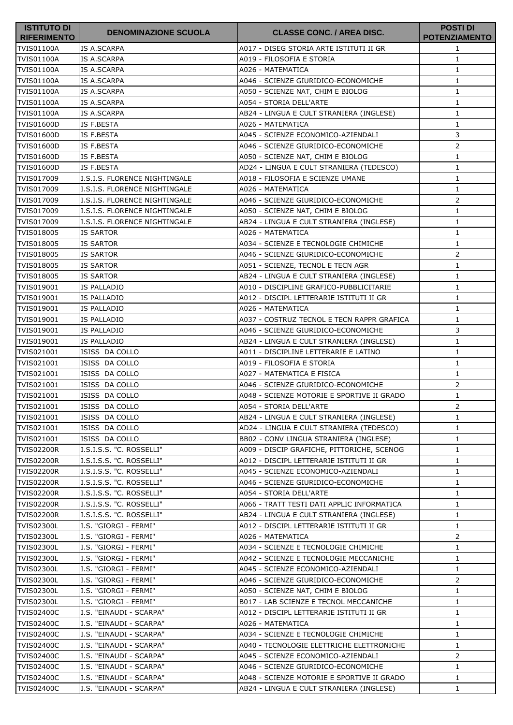| <b>ISTITUTO DI</b><br><b>RIFERIMENTO</b> | <b>DENOMINAZIONE SCUOLA</b>   | <b>CLASSE CONC. / AREA DISC.</b>           | <b>POSTI DI</b><br><b>POTENZIAMENTO</b> |
|------------------------------------------|-------------------------------|--------------------------------------------|-----------------------------------------|
| <b>TVIS01100A</b>                        | IS A.SCARPA                   | A017 - DISEG STORIA ARTE ISTITUTI II GR    | 1                                       |
| <b>TVIS01100A</b>                        | IS A.SCARPA                   | A019 - FILOSOFIA E STORIA                  | 1                                       |
| <b>TVIS01100A</b>                        | IS A.SCARPA                   | A026 - MATEMATICA                          | $\mathbf{1}$                            |
| <b>TVIS01100A</b>                        | IS A.SCARPA                   | A046 - SCIENZE GIURIDICO-ECONOMICHE        | 1                                       |
| <b>TVIS01100A</b>                        | IS A.SCARPA                   | A050 - SCIENZE NAT, CHIM E BIOLOG          | 1                                       |
| <b>TVIS01100A</b>                        | IS A.SCARPA                   | A054 - STORIA DELL'ARTE                    | $\mathbf{1}$                            |
| <b>TVIS01100A</b>                        | IS A.SCARPA                   | AB24 - LINGUA E CULT STRANIERA (INGLESE)   | 1                                       |
| <b>TVIS01600D</b>                        | IS F.BESTA                    | A026 - MATEMATICA                          | $\mathbf{1}$                            |
| <b>TVIS01600D</b>                        | IS F.BESTA                    | A045 - SCIENZE ECONOMICO-AZIENDALI         | 3                                       |
| <b>TVIS01600D</b>                        | IS F.BESTA                    | A046 - SCIENZE GIURIDICO-ECONOMICHE        | $\overline{2}$                          |
| <b>TVIS01600D</b>                        | IS F.BESTA                    | A050 - SCIENZE NAT, CHIM E BIOLOG          | $\mathbf{1}$                            |
| <b>TVIS01600D</b>                        | IS F.BESTA                    | AD24 - LINGUA E CULT STRANIERA (TEDESCO)   | 1                                       |
| TVIS017009                               | I.S.I.S. FLORENCE NIGHTINGALE | A018 - FILOSOFIA E SCIENZE UMANE           | 1                                       |
| TVIS017009                               | I.S.I.S. FLORENCE NIGHTINGALE | A026 - MATEMATICA                          | 1                                       |
| TVIS017009                               | I.S.I.S. FLORENCE NIGHTINGALE | A046 - SCIENZE GIURIDICO-ECONOMICHE        | 2                                       |
| TVIS017009                               | I.S.I.S. FLORENCE NIGHTINGALE | A050 - SCIENZE NAT, CHIM E BIOLOG          | $\mathbf{1}$                            |
| TVIS017009                               | I.S.I.S. FLORENCE NIGHTINGALE | AB24 - LINGUA E CULT STRANIERA (INGLESE)   | 1                                       |
| TVIS018005                               | <b>IS SARTOR</b>              | A026 - MATEMATICA                          | $\mathbf{1}$                            |
| TVIS018005                               | <b>IS SARTOR</b>              | A034 - SCIENZE E TECNOLOGIE CHIMICHE       | 1                                       |
| TVIS018005                               | <b>IS SARTOR</b>              | A046 - SCIENZE GIURIDICO-ECONOMICHE        | 2                                       |
| TVIS018005                               | <b>IS SARTOR</b>              | A051 - SCIENZE, TECNOL E TECN AGR          | $\mathbf{1}$                            |
| TVIS018005                               | <b>IS SARTOR</b>              | AB24 - LINGUA E CULT STRANIERA (INGLESE)   | 1                                       |
| TVIS019001                               | IS PALLADIO                   | A010 - DISCIPLINE GRAFICO-PUBBLICITARIE    | $\mathbf{1}$                            |
| TVIS019001                               | IS PALLADIO                   | A012 - DISCIPL LETTERARIE ISTITUTI II GR   | $\mathbf{1}$                            |
| TVIS019001                               | IS PALLADIO                   | A026 - MATEMATICA                          | 1                                       |
| TVIS019001                               | IS PALLADIO                   | A037 - COSTRUZ TECNOL E TECN RAPPR GRAFICA | $\mathbf{1}$                            |
| TVIS019001                               | IS PALLADIO                   | A046 - SCIENZE GIURIDICO-ECONOMICHE        | 3                                       |
| TVIS019001                               | IS PALLADIO                   | AB24 - LINGUA E CULT STRANIERA (INGLESE)   | $\mathbf{1}$                            |
| TVIS021001                               | ISISS DA COLLO                | A011 - DISCIPLINE LETTERARIE E LATINO      | $\mathbf{1}$                            |
| TVIS021001                               | ISISS DA COLLO                | A019 - FILOSOFIA E STORIA                  | 1                                       |
| TVIS021001                               | ISISS DA COLLO                | A027 - MATEMATICA E FISICA                 | $\mathbf{1}$                            |
| TVIS021001                               | ISISS DA COLLO                | A046 - SCIENZE GIURIDICO-ECONOMICHE        | 2                                       |
| TVIS021001                               | ISISS DA COLLO                | A048 - SCIENZE MOTORIE E SPORTIVE II GRADO | $\mathbf{1}$                            |
| TVIS021001                               | ISISS DA COLLO                | A054 - STORIA DELL'ARTE                    | $\mathsf{2}$                            |
| TVIS021001                               | ISISS DA COLLO                | AB24 - LINGUA E CULT STRANIERA (INGLESE)   | $\mathbf{1}$                            |
| TVIS021001                               | ISISS DA COLLO                | AD24 - LINGUA E CULT STRANIERA (TEDESCO)   | $\mathbf{1}$                            |
| TVIS021001                               | ISISS DA COLLO                | BB02 - CONV LINGUA STRANIERA (INGLESE)     | 1                                       |
| <b>TVIS02200R</b>                        | I.S.I.S.S. "C. ROSSELLI"      | A009 - DISCIP GRAFICHE, PITTORICHE, SCENOG | $\mathbf{1}$                            |
| <b>TVIS02200R</b>                        | I.S.I.S.S. "C. ROSSELLI"      | A012 - DISCIPL LETTERARIE ISTITUTI II GR   | $\mathbf{1}$                            |
| <b>TVIS02200R</b>                        | I.S.I.S.S. "C. ROSSELLI"      | A045 - SCIENZE ECONOMICO-AZIENDALI         | $\mathbf{1}$                            |
| <b>TVIS02200R</b>                        | I.S.I.S.S. "C. ROSSELLI"      | A046 - SCIENZE GIURIDICO-ECONOMICHE        | $\mathbf{1}$                            |
| <b>TVIS02200R</b>                        | I.S.I.S.S. "C. ROSSELLI"      | A054 - STORIA DELL'ARTE                    | $\mathbf{1}$                            |
| <b>TVIS02200R</b>                        | I.S.I.S.S. "C. ROSSELLI"      | A066 - TRATT TESTI DATI APPLIC INFORMATICA | $\mathbf{1}$                            |
| <b>TVIS02200R</b>                        | I.S.I.S.S. "C. ROSSELLI"      | AB24 - LINGUA E CULT STRANIERA (INGLESE)   | $\mathbf{1}$                            |
| TVIS02300L                               | I.S. "GIORGI - FERMI"         | A012 - DISCIPL LETTERARIE ISTITUTI II GR   | $\mathbf{1}$                            |
| <b>TVIS02300L</b>                        | I.S. "GIORGI - FERMI"         | A026 - MATEMATICA                          | $\overline{2}$                          |
| <b>TVIS02300L</b>                        | I.S. "GIORGI - FERMI"         | A034 - SCIENZE E TECNOLOGIE CHIMICHE       | 1                                       |
| <b>TVIS02300L</b>                        | I.S. "GIORGI - FERMI"         | A042 - SCIENZE E TECNOLOGIE MECCANICHE     | $\mathbf{1}$                            |
| <b>TVIS02300L</b>                        | I.S. "GIORGI - FERMI"         | A045 - SCIENZE ECONOMICO-AZIENDALI         | $\mathbf{1}$                            |
| <b>TVIS02300L</b>                        | I.S. "GIORGI - FERMI"         | A046 - SCIENZE GIURIDICO-ECONOMICHE        | $\overline{2}$                          |
| <b>TVIS02300L</b>                        | I.S. "GIORGI - FERMI"         | A050 - SCIENZE NAT, CHIM E BIOLOG          | $\mathbf{1}$                            |
| <b>TVIS02300L</b>                        | I.S. "GIORGI - FERMI"         | B017 - LAB SCIENZE E TECNOL MECCANICHE     | $\mathbf{1}$                            |
| <b>TVIS02400C</b>                        | I.S. "EINAUDI - SCARPA"       | A012 - DISCIPL LETTERARIE ISTITUTI II GR   | $\mathbf{1}$                            |
| <b>TVIS02400C</b>                        | I.S. "EINAUDI - SCARPA"       | A026 - MATEMATICA                          | $\mathbf{1}$                            |
| <b>TVIS02400C</b>                        | I.S. "EINAUDI - SCARPA"       | A034 - SCIENZE E TECNOLOGIE CHIMICHE       | 1                                       |
| <b>TVIS02400C</b>                        | I.S. "EINAUDI - SCARPA"       | A040 - TECNOLOGIE ELETTRICHE ELETTRONICHE  | $\mathbf{1}$                            |
| <b>TVIS02400C</b>                        | I.S. "EINAUDI - SCARPA"       | A045 - SCIENZE ECONOMICO-AZIENDALI         | 2                                       |
| <b>TVIS02400C</b>                        | I.S. "EINAUDI - SCARPA"       | A046 - SCIENZE GIURIDICO-ECONOMICHE        | $\mathbf{1}$                            |
| <b>TVIS02400C</b>                        | I.S. "EINAUDI - SCARPA"       | A048 - SCIENZE MOTORIE E SPORTIVE II GRADO | $\mathbf{1}$                            |
| <b>TVIS02400C</b>                        | I.S. "EINAUDI - SCARPA"       | AB24 - LINGUA E CULT STRANIERA (INGLESE)   | $\mathbf{1}$                            |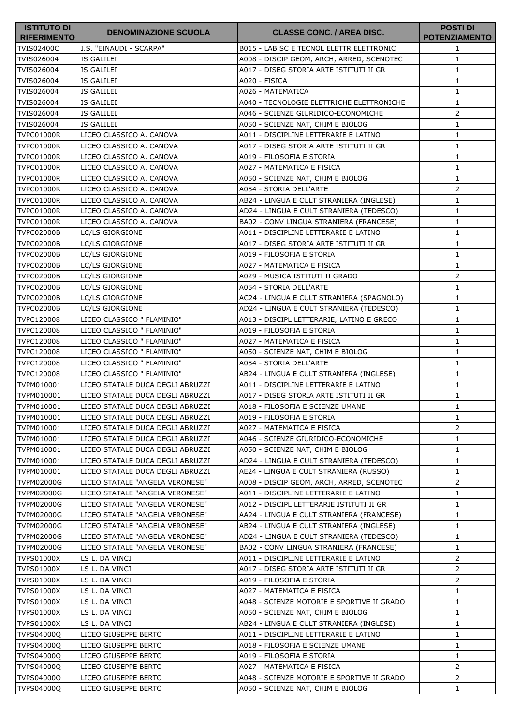| <b>ISTITUTO DI</b><br><b>RIFERIMENTO</b> | <b>DENOMINAZIONE SCUOLA</b>      | <b>CLASSE CONC. / AREA DISC.</b>           | <b>POSTI DI</b><br><b>POTENZIAMENTO</b> |
|------------------------------------------|----------------------------------|--------------------------------------------|-----------------------------------------|
| <b>TVIS02400C</b>                        | I.S. "EINAUDI - SCARPA"          | B015 - LAB SC E TECNOL ELETTR ELETTRONIC   | 1                                       |
| TVIS026004                               | IS GALILEI                       | A008 - DISCIP GEOM, ARCH, ARRED, SCENOTEC  | $\mathbf{1}$                            |
| TVIS026004                               | IS GALILEI                       | A017 - DISEG STORIA ARTE ISTITUTI II GR    | 1                                       |
| TVIS026004                               | IS GALILEI                       | A020 - FISICA                              | $\mathbf{1}$                            |
| TVIS026004                               | IS GALILEI                       | A026 - MATEMATICA                          | 1                                       |
| TVIS026004                               | IS GALILEI                       | A040 - TECNOLOGIE ELETTRICHE ELETTRONICHE  | 1                                       |
| TVIS026004                               | IS GALILEI                       | A046 - SCIENZE GIURIDICO-ECONOMICHE        | 2                                       |
| TVIS026004                               | IS GALILEI                       | A050 - SCIENZE NAT, CHIM E BIOLOG          | 1                                       |
| <b>TVPC01000R</b>                        | LICEO CLASSICO A. CANOVA         | A011 - DISCIPLINE LETTERARIE E LATINO      | $\mathbf{1}$                            |
| TVPC01000R                               | LICEO CLASSICO A. CANOVA         | A017 - DISEG STORIA ARTE ISTITUTI II GR    | $\mathbf{1}$                            |
| <b>TVPC01000R</b>                        | LICEO CLASSICO A. CANOVA         | A019 - FILOSOFIA E STORIA                  | 1                                       |
| TVPC01000R                               | LICEO CLASSICO A. CANOVA         | A027 - MATEMATICA E FISICA                 | 1                                       |
| <b>TVPC01000R</b>                        | LICEO CLASSICO A. CANOVA         | A050 - SCIENZE NAT, CHIM E BIOLOG          | $\mathbf{1}$                            |
| TVPC01000R                               | LICEO CLASSICO A. CANOVA         | A054 - STORIA DELL'ARTE                    | $\overline{2}$                          |
| <b>TVPC01000R</b>                        | LICEO CLASSICO A. CANOVA         | AB24 - LINGUA E CULT STRANIERA (INGLESE)   | 1                                       |
| <b>TVPC01000R</b>                        | LICEO CLASSICO A. CANOVA         | AD24 - LINGUA E CULT STRANIERA (TEDESCO)   | 1                                       |
| <b>TVPC01000R</b>                        | LICEO CLASSICO A. CANOVA         | BA02 - CONV LINGUA STRANIERA (FRANCESE)    | $\mathbf{1}$                            |
| <b>TVPC02000B</b>                        | LC/LS GIORGIONE                  | A011 - DISCIPLINE LETTERARIE E LATINO      | 1                                       |
| <b>TVPC02000B</b>                        | LC/LS GIORGIONE                  | A017 - DISEG STORIA ARTE ISTITUTI II GR    | $\mathbf{1}$                            |
| <b>TVPC02000B</b>                        | LC/LS GIORGIONE                  | A019 - FILOSOFIA E STORIA                  | 1                                       |
| TVPC02000B                               | LC/LS GIORGIONE                  | A027 - MATEMATICA E FISICA                 | $\mathbf{1}$                            |
| <b>TVPC02000B</b>                        | LC/LS GIORGIONE                  | A029 - MUSICA ISTITUTI II GRADO            | 2                                       |
| <b>TVPC02000B</b>                        | LC/LS GIORGIONE                  | A054 - STORIA DELL'ARTE                    | 1                                       |
| <b>TVPC02000B</b>                        | LC/LS GIORGIONE                  | AC24 - LINGUA E CULT STRANIERA (SPAGNOLO)  | $\mathbf{1}$                            |
| <b>TVPC02000B</b>                        | <b>LC/LS GIORGIONE</b>           | AD24 - LINGUA E CULT STRANIERA (TEDESCO)   | 1                                       |
| TVPC120008                               | LICEO CLASSICO " FLAMINIO"       | A013 - DISCIPL LETTERARIE, LATINO E GRECO  | $\mathbf{1}$                            |
| TVPC120008                               | LICEO CLASSICO " FLAMINIO"       | A019 - FILOSOFIA E STORIA                  | $\mathbf{1}$                            |
| TVPC120008                               | LICEO CLASSICO " FLAMINIO"       | A027 - MATEMATICA E FISICA                 | 1                                       |
| TVPC120008                               | LICEO CLASSICO " FLAMINIO"       | A050 - SCIENZE NAT, CHIM E BIOLOG          | $\mathbf{1}$                            |
| TVPC120008                               | LICEO CLASSICO " FLAMINIO"       | A054 - STORIA DELL'ARTE                    | 1                                       |
| TVPC120008                               | LICEO CLASSICO " FLAMINIO"       | AB24 - LINGUA E CULT STRANIERA (INGLESE)   | $\mathbf{1}$                            |
| TVPM010001                               | LICEO STATALE DUCA DEGLI ABRUZZI | A011 - DISCIPLINE LETTERARIE E LATINO      | 1                                       |
| TVPM010001                               | LICEO STATALE DUCA DEGLI ABRUZZI | A017 - DISEG STORIA ARTE ISTITUTI II GR    | $\mathbf{1}$                            |
| TVPM010001                               | LICEO STATALE DUCA DEGLI ABRUZZI | A018 - FILOSOFIA E SCIENZE UMANE           | $\mathbf{1}$                            |
| TVPM010001                               | LICEO STATALE DUCA DEGLI ABRUZZI | A019 - FILOSOFIA E STORIA                  | 1                                       |
| TVPM010001                               | LICEO STATALE DUCA DEGLI ABRUZZI | A027 - MATEMATICA E FISICA                 | 2                                       |
| TVPM010001                               | LICEO STATALE DUCA DEGLI ABRUZZI | A046 - SCIENZE GIURIDICO-ECONOMICHE        | 1                                       |
| TVPM010001                               | LICEO STATALE DUCA DEGLI ABRUZZI | A050 - SCIENZE NAT, CHIM E BIOLOG          | 1                                       |
| TVPM010001                               | LICEO STATALE DUCA DEGLI ABRUZZI | AD24 - LINGUA E CULT STRANIERA (TEDESCO)   | 1                                       |
| TVPM010001                               | LICEO STATALE DUCA DEGLI ABRUZZI | AE24 - LINGUA E CULT STRANIERA (RUSSO)     | 1                                       |
| TVPM02000G                               | LICEO STATALE "ANGELA VERONESE"  | A008 - DISCIP GEOM, ARCH, ARRED, SCENOTEC  | 2                                       |
| TVPM02000G                               | LICEO STATALE "ANGELA VERONESE"  | A011 - DISCIPLINE LETTERARIE E LATINO      | $\mathbf{1}$                            |
| <b>TVPM02000G</b>                        | LICEO STATALE "ANGELA VERONESE"  | A012 - DISCIPL LETTERARIE ISTITUTI II GR   | 1                                       |
| <b>TVPM02000G</b>                        | LICEO STATALE "ANGELA VERONESE"  | AA24 - LINGUA E CULT STRANIERA (FRANCESE)  | 1                                       |
| <b>TVPM02000G</b>                        | LICEO STATALE "ANGELA VERONESE"  | AB24 - LINGUA E CULT STRANIERA (INGLESE)   | 1                                       |
| <b>TVPM02000G</b>                        | LICEO STATALE "ANGELA VERONESE"  | AD24 - LINGUA E CULT STRANIERA (TEDESCO)   | 1                                       |
| <b>TVPM02000G</b>                        | LICEO STATALE "ANGELA VERONESE"  | BA02 - CONV LINGUA STRANIERA (FRANCESE)    | 1                                       |
| <b>TVPS01000X</b>                        | LS L. DA VINCI                   | A011 - DISCIPLINE LETTERARIE E LATINO      | $\overline{2}$                          |
| <b>TVPS01000X</b>                        | LS L. DA VINCI                   | A017 - DISEG STORIA ARTE ISTITUTI II GR    | $\overline{2}$                          |
| <b>TVPS01000X</b>                        | LS L. DA VINCI                   | A019 - FILOSOFIA E STORIA                  | $\mathbf{2}$                            |
| <b>TVPS01000X</b>                        | LS L. DA VINCI                   | A027 - MATEMATICA E FISICA                 | 1                                       |
| TVPS01000X                               | LS L. DA VINCI                   | A048 - SCIENZE MOTORIE E SPORTIVE II GRADO | $\mathbf{1}$                            |
| <b>TVPS01000X</b>                        | LS L. DA VINCI                   | A050 - SCIENZE NAT, CHIM E BIOLOG          | 1                                       |
| <b>TVPS01000X</b>                        | LS L. DA VINCI                   | AB24 - LINGUA E CULT STRANIERA (INGLESE)   | 1                                       |
| TVPS04000Q                               | LICEO GIUSEPPE BERTO             | A011 - DISCIPLINE LETTERARIE E LATINO      | 1                                       |
| TVPS04000Q                               | LICEO GIUSEPPE BERTO             | A018 - FILOSOFIA E SCIENZE UMANE           | 1                                       |
| TVPS04000Q                               | LICEO GIUSEPPE BERTO             | A019 - FILOSOFIA E STORIA                  | $\mathbf{1}$                            |
| TVPS04000Q                               | LICEO GIUSEPPE BERTO             | A027 - MATEMATICA E FISICA                 | $\overline{2}$                          |
| TVPS04000Q                               | LICEO GIUSEPPE BERTO             | A048 - SCIENZE MOTORIE E SPORTIVE II GRADO | $\overline{2}$                          |
| TVPS04000Q                               | LICEO GIUSEPPE BERTO             | A050 - SCIENZE NAT, CHIM E BIOLOG          | $\mathbf{1}$                            |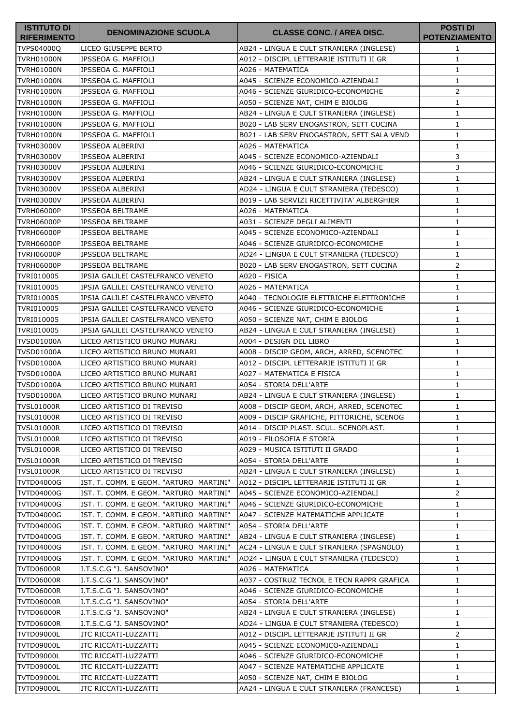| <b>ISTITUTO DI</b><br><b>RIFERIMENTO</b> | <b>DENOMINAZIONE SCUOLA</b>            | <b>CLASSE CONC. / AREA DISC.</b>           | <b>POSTI DI</b><br><b>POTENZIAMENTO</b> |
|------------------------------------------|----------------------------------------|--------------------------------------------|-----------------------------------------|
| <b>TVPS04000Q</b>                        | LICEO GIUSEPPE BERTO                   | AB24 - LINGUA E CULT STRANIERA (INGLESE)   | 1                                       |
| <b>TVRH01000N</b>                        | IPSSEOA G. MAFFIOLI                    | A012 - DISCIPL LETTERARIE ISTITUTI II GR   | $\mathbf{1}$                            |
| <b>TVRH01000N</b>                        | IPSSEOA G. MAFFIOLI                    | A026 - MATEMATICA                          | 1                                       |
| <b>TVRH01000N</b>                        | IPSSEOA G. MAFFIOLI                    | A045 - SCIENZE ECONOMICO-AZIENDALI         | $\mathbf{1}$                            |
| <b>TVRH01000N</b>                        | IPSSEOA G. MAFFIOLI                    | A046 - SCIENZE GIURIDICO-ECONOMICHE        | 2                                       |
| <b>TVRH01000N</b>                        | IPSSEOA G. MAFFIOLI                    | A050 - SCIENZE NAT, CHIM E BIOLOG          | $\mathbf{1}$                            |
| <b>TVRH01000N</b>                        | IPSSEOA G. MAFFIOLI                    | AB24 - LINGUA E CULT STRANIERA (INGLESE)   | 1                                       |
| <b>TVRH01000N</b>                        | IPSSEOA G. MAFFIOLI                    | B020 - LAB SERV ENOGASTRON, SETT CUCINA    | 1                                       |
| <b>TVRH01000N</b>                        | IPSSEOA G. MAFFIOLI                    | B021 - LAB SERV ENOGASTRON, SETT SALA VEND | $\mathbf{1}$                            |
| TVRH03000V                               | IPSSEOA ALBERINI                       | A026 - MATEMATICA                          | 1                                       |
| TVRH03000V                               | IPSSEOA ALBERINI                       | A045 - SCIENZE ECONOMICO-AZIENDALI         | 3                                       |
| TVRH03000V                               | IPSSEOA ALBERINI                       | A046 - SCIENZE GIURIDICO-ECONOMICHE        | 3                                       |
| TVRH03000V                               | IPSSEOA ALBERINI                       | AB24 - LINGUA E CULT STRANIERA (INGLESE)   | 1                                       |
| <b>TVRH03000V</b>                        | IPSSEOA ALBERINI                       | AD24 - LINGUA E CULT STRANIERA (TEDESCO)   | 1                                       |
| <b>TVRH03000V</b>                        | IPSSEOA ALBERINI                       | B019 - LAB SERVIZI RICETTIVITA' ALBERGHIER | $\mathbf{1}$                            |
| <b>TVRH06000P</b>                        | <b>IPSSEOA BELTRAME</b>                | A026 - MATEMATICA                          | $\mathbf{1}$                            |
| <b>TVRH06000P</b>                        | <b>IPSSEOA BELTRAME</b>                | A031 - SCIENZE DEGLI ALIMENTI              | 1                                       |
| <b>TVRH06000P</b>                        | <b>IPSSEOA BELTRAME</b>                | A045 - SCIENZE ECONOMICO-AZIENDALI         | $\mathbf{1}$                            |
| <b>TVRH06000P</b>                        | <b>IPSSEOA BELTRAME</b>                | A046 - SCIENZE GIURIDICO-ECONOMICHE        | 1                                       |
| <b>TVRH06000P</b>                        | <b>IPSSEOA BELTRAME</b>                | AD24 - LINGUA E CULT STRANIERA (TEDESCO)   | 1                                       |
| TVRH06000P                               | <b>IPSSEOA BELTRAME</b>                | B020 - LAB SERV ENOGASTRON, SETT CUCINA    | $\overline{2}$                          |
| TVRI010005                               | IPSIA GALILEI CASTELFRANCO VENETO      | A020 - FISICA                              | 1                                       |
| TVRI010005                               | IPSIA GALILEI CASTELFRANCO VENETO      | A026 - MATEMATICA                          | 1                                       |
| TVRI010005                               | IPSIA GALILEI CASTELFRANCO VENETO      | A040 - TECNOLOGIE ELETTRICHE ELETTRONICHE  | 1                                       |
| TVRI010005                               | IPSIA GALILEI CASTELFRANCO VENETO      | A046 - SCIENZE GIURIDICO-ECONOMICHE        | $\mathbf{1}$                            |
| TVRI010005                               | IPSIA GALILEI CASTELFRANCO VENETO      | A050 - SCIENZE NAT, CHIM E BIOLOG          | $\mathbf{1}$                            |
| TVRI010005                               | IPSIA GALILEI CASTELFRANCO VENETO      | AB24 - LINGUA E CULT STRANIERA (INGLESE)   | 1                                       |
| <b>TVSD01000A</b>                        | LICEO ARTISTICO BRUNO MUNARI           | A004 - DESIGN DEL LIBRO                    | $\mathbf{1}$                            |
| <b>TVSD01000A</b>                        | LICEO ARTISTICO BRUNO MUNARI           | A008 - DISCIP GEOM, ARCH, ARRED, SCENOTEC  | $\mathbf{1}$                            |
| TVSD01000A                               | LICEO ARTISTICO BRUNO MUNARI           | A012 - DISCIPL LETTERARIE ISTITUTI II GR   | 1                                       |
| TVSD01000A                               | LICEO ARTISTICO BRUNO MUNARI           | A027 - MATEMATICA E FISICA                 | $\mathbf{1}$                            |
| TVSD01000A                               | LICEO ARTISTICO BRUNO MUNARI           | A054 - STORIA DELL'ARTE                    | 1                                       |
| <b>TVSD01000A</b>                        | LICEO ARTISTICO BRUNO MUNARI           | AB24 - LINGUA E CULT STRANIERA (INGLESE)   | 1                                       |
| <b>TVSL01000R</b>                        | LICEO ARTISTICO DI TREVISO             | A008 - DISCIP GEOM, ARCH, ARRED, SCENOTEC  | $\mathbf{1}$                            |
| <b>TVSL01000R</b>                        | LICEO ARTISTICO DI TREVISO             | A009 - DISCIP GRAFICHE, PITTORICHE, SCENOG | 1                                       |
| <b>TVSL01000R</b>                        | LICEO ARTISTICO DI TREVISO             | A014 - DISCIP PLAST. SCUL. SCENOPLAST.     | 1                                       |
| <b>TVSL01000R</b>                        | LICEO ARTISTICO DI TREVISO             | A019 - FILOSOFIA E STORIA                  | $\mathbf{1}$                            |
| <b>TVSL01000R</b>                        | LICEO ARTISTICO DI TREVISO             | A029 - MUSICA ISTITUTI II GRADO            | $\mathbf{1}$                            |
| TVSL01000R                               | LICEO ARTISTICO DI TREVISO             | A054 - STORIA DELL'ARTE                    | 1                                       |
| TVSL01000R                               | LICEO ARTISTICO DI TREVISO             | AB24 - LINGUA E CULT STRANIERA (INGLESE)   | $\mathbf{1}$                            |
| <b>TVTD04000G</b>                        | IST. T. COMM. E GEOM. "ARTURO MARTINI" | A012 - DISCIPL LETTERARIE ISTITUTI II GR   | $\mathbf{1}$                            |
| <b>TVTD04000G</b>                        | IST. T. COMM. E GEOM. "ARTURO MARTINI" | A045 - SCIENZE ECONOMICO-AZIENDALI         | 2                                       |
| <b>TVTD04000G</b>                        | IST. T. COMM. E GEOM. "ARTURO MARTINI" | A046 - SCIENZE GIURIDICO-ECONOMICHE        | 1                                       |
| <b>TVTD04000G</b>                        | IST. T. COMM. E GEOM. "ARTURO MARTINI" | A047 - SCIENZE MATEMATICHE APPLICATE       | $\mathbf{1}$                            |
| <b>TVTD04000G</b>                        | IST. T. COMM. E GEOM. "ARTURO MARTINI" | A054 - STORIA DELL'ARTE                    | 1                                       |
| <b>TVTD04000G</b>                        | IST. T. COMM. E GEOM. "ARTURO MARTINI" | AB24 - LINGUA E CULT STRANIERA (INGLESE)   | 1                                       |
| <b>TVTD04000G</b>                        | IST. T. COMM. E GEOM. "ARTURO MARTINI" | AC24 - LINGUA E CULT STRANIERA (SPAGNOLO)  | 1                                       |
| <b>TVTD04000G</b>                        | IST. T. COMM. E GEOM. "ARTURO MARTINI" | AD24 - LINGUA E CULT STRANIERA (TEDESCO)   | $\mathbf{1}$                            |
| TVTD06000R                               | I.T.S.C.G "J. SANSOVINO"               | A026 - MATEMATICA                          | 1                                       |
| TVTD06000R                               | I.T.S.C.G "J. SANSOVINO"               | A037 - COSTRUZ TECNOL E TECN RAPPR GRAFICA | 1                                       |
| <b>TVTD06000R</b>                        | I.T.S.C.G "J. SANSOVINO"               | A046 - SCIENZE GIURIDICO-ECONOMICHE        | $\mathbf{1}$                            |
| TVTD06000R                               | I.T.S.C.G "J. SANSOVINO"               | A054 - STORIA DELL'ARTE                    | $\mathbf{1}$                            |
| TVTD06000R                               | I.T.S.C.G "J. SANSOVINO"               | AB24 - LINGUA E CULT STRANIERA (INGLESE)   | 1                                       |
| TVTD06000R                               | I.T.S.C.G "J. SANSOVINO"               | AD24 - LINGUA E CULT STRANIERA (TEDESCO)   | $\mathbf{1}$                            |
| TVTD09000L                               | ITC RICCATI-LUZZATTI                   | A012 - DISCIPL LETTERARIE ISTITUTI II GR   | 2                                       |
| <b>TVTD09000L</b>                        | ITC RICCATI-LUZZATTI                   | A045 - SCIENZE ECONOMICO-AZIENDALI         | 1                                       |
| <b>TVTD09000L</b>                        | ITC RICCATI-LUZZATTI                   | A046 - SCIENZE GIURIDICO-ECONOMICHE        | $\mathbf{1}$                            |
| <b>TVTD09000L</b>                        | ITC RICCATI-LUZZATTI                   | A047 - SCIENZE MATEMATICHE APPLICATE       | $\mathbf{1}$                            |
| <b>TVTD09000L</b>                        | ITC RICCATI-LUZZATTI                   | A050 - SCIENZE NAT, CHIM E BIOLOG          | $\mathbf{1}$                            |
| <b>TVTD09000L</b>                        | ITC RICCATI-LUZZATTI                   | AA24 - LINGUA E CULT STRANIERA (FRANCESE)  | $\mathbf{1}$                            |